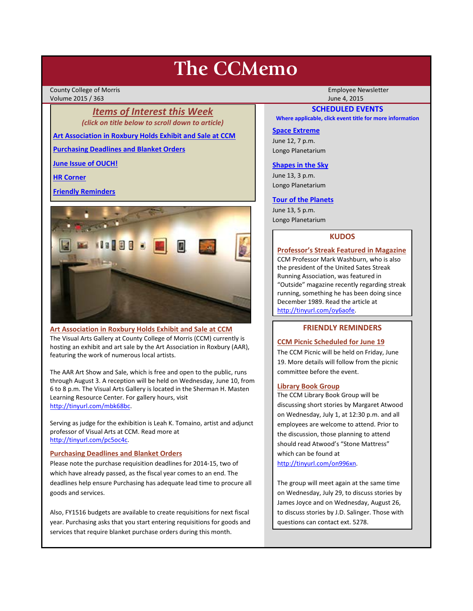# **The CCMemo**

County College of Morris Employee Newsletter Volume 2015 / 363 June 4, 2015

*Items of Interest this Week (click on title below to scroll down to article)*

**[Art Association in Roxbury Holds Exhibit and Sale at CCM](#page-0-0)**

**[Purchasing Deadlines and Blanket Orders](#page-0-1)**

**[June Issue of OUCH!](#page-1-0)**

**[HR Corner](#page-1-1)**

**[Friendly Reminders](#page-0-2)**



## <span id="page-0-0"></span>**Art Association in Roxbury Holds Exhibit and Sale at CCM**

The Visual Arts Gallery at County College of Morris (CCM) currently is hosting an exhibit and art sale by the Art Association in Roxbury (AAR), featuring the work of numerous local artists.

The AAR Art Show and Sale, which is free and open to the public, runs through August 3. A reception will be held on Wednesday, June 10, from 6 to 8 p.m. The Visual Arts Gallery is located in the Sherman H. Masten Learning Resource Center. For gallery hours, visit [http://tinyurl.com/mbk68bc.](http://tinyurl.com/mbk68bc)

Serving as judge for the exhibition is Leah K. Tomaino, artist and adjunct professor of Visual Arts at CCM. Read more at [http://tinyurl.com/pc5oc4c.](http://tinyurl.com/pc5oc4c)

#### <span id="page-0-1"></span>**Purchasing Deadlines and Blanket Orders**

Please note the purchase requisition deadlines for 2014-15, two of which have already passed, as the fiscal year comes to an end. The deadlines help ensure Purchasing has adequate lead time to procure all goods and services.

Also, FY1516 budgets are available to create requisitions for next fiscal year. Purchasing asks that you start entering requisitions for goods and services that require blanket purchase orders during this month.

## **SCHEDULED EVENTS**

**Where applicable, click event title for more information**

#### **[Space Extreme](http://www.ccm.edu/newsEvents/eventDetails.aspx?Channel=/Channels/Sitewide&WorkflowItemID=1874a4b0-0bcb-4ed1-a29e-7b4f8d25e45d)**

June 12, 7 p.m. Longo Planetarium

#### **[Shapes in the Sky](http://www.ccm.edu/newsEvents/eventDetails.aspx?Channel=/Channels/Sitewide&WorkflowItemID=1922c928-86d3-4e75-b6a2-fd618033989c)**

June 13, 3 p.m. Longo Planetarium

#### **[Tour of the Planets](http://www.ccm.edu/newsEvents/eventDetails.aspx?Channel=/Channels/Sitewide&WorkflowItemID=5834aa20-68ba-4fa2-a3ac-75b2311ba441)**

June 13, 5 p.m. Longo Planetarium

## **KUDOS**

**Professor's Streak Featured in Magazine** CCM Professor Mark Washburn, who is also the president of the United Sates Streak Running Association, was featured in "Outside" magazine recently regarding streak running, something he has been doing since December 1989. Read the article at [http://tinyurl.com/oy6aofe.](http://tinyurl.com/oy6aofe)

#### **FRIENDLY REMINDERS**

### <span id="page-0-2"></span>**CCM Picnic Scheduled for June 19**

The CCM Picnic will be held on Friday, June 19. More details will follow from the picnic committee before the event.

#### **Library Book Group**

The CCM Library Book Group will be discussing short stories by Margaret Atwood on Wednesday, July 1, at 12:30 p.m. and all employees are welcome to attend. Prior to the discussion, those planning to attend should read Atwood's "Stone Mattress" which can be found at

[http://tinyurl.com/on996xn.](http://tinyurl.com/on996xn)

The group will meet again at the same time on Wednesday, July 29, to discuss stories by James Joyce and on Wednesday, August 26, to discuss stories by J.D. Salinger. Those with questions can contact ext. 5278.